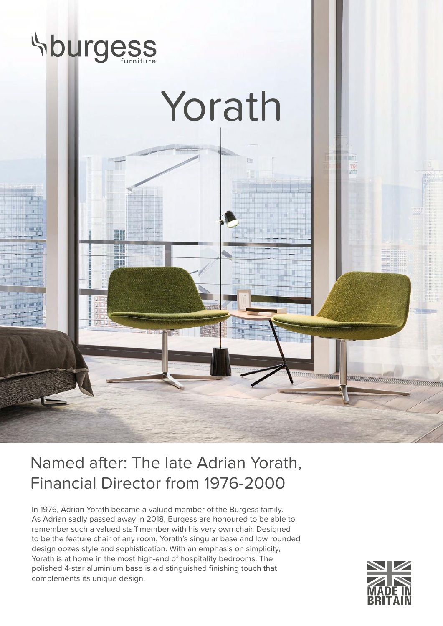

## Named after: The late Adrian Yorath, Financial Director from 1976-2000

In 1976, Adrian Yorath became a valued member of the Burgess family. As Adrian sadly passed away in 2018, Burgess are honoured to be able to remember such a valued staff member with his very own chair. Designed to be the feature chair of any room, Yorath's singular base and low rounded design oozes style and sophistication. With an emphasis on simplicity, Yorath is at home in the most high-end of hospitality bedrooms. The polished 4-star aluminium base is a distinguished finishing touch that complements its unique design.